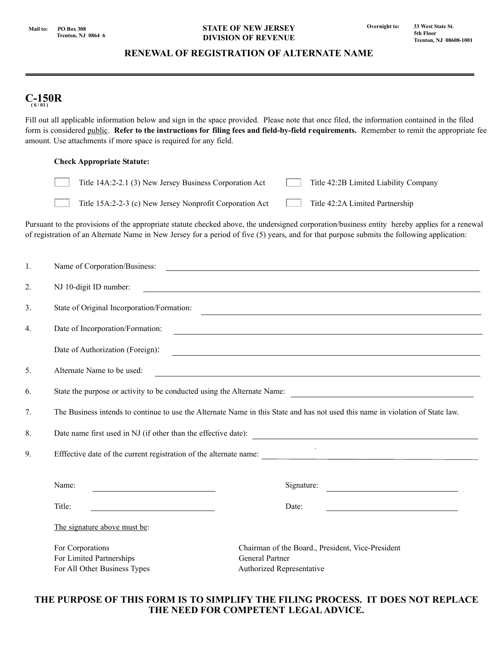## **STATE OF NEW JERSEY DIVISION OF REVENUE**

# **RENEWAL OF REGISTRATION OF ALTERNATE NAME**

# **C-150R ( 6 / 03 )**

Fill out all applicable information below and sign in the space provided. Please note that once filed, the information contained in the filed form is considered public. **Refer to the instructions for filing fees and field-by-field requirements.** Remember to remit the appropriate fee amount. Use attachments if more space is required for any field.

## **Check Appropriate Statute:**

| Title 14A:2-2.1 (3) New Jersey Business Corporation Act  | Title 42:2B Limited Liability Company |
|----------------------------------------------------------|---------------------------------------|
| Title 15A:2-2-3 (c) New Jersey Nonprofit Corporation Act | Title 42:2A Limited Partnership       |

Pursuant to the provisions of the appropriate statute checked above, the undersigned corporation/business entity hereby applies for a renewal of registration of an Alternate Name in New Jersey for a period of five (5) years, and for that purpose submits the following application:

| 1.               |                                                                                                                                                                                                                                                                             |                                                                                                                                    |  |
|------------------|-----------------------------------------------------------------------------------------------------------------------------------------------------------------------------------------------------------------------------------------------------------------------------|------------------------------------------------------------------------------------------------------------------------------------|--|
| 2.               | NJ 10-digit ID number:<br><u> 1989 - Andrea Stadt Britain, amerikansk politik (d. 1989)</u>                                                                                                                                                                                 |                                                                                                                                    |  |
| 3 <sub>1</sub>   | State of Original Incorporation/Formation:<br>the control of the control of the control of the control of the control of the control of the control of the control of the control of the control of the control of the control of the control of the control of the control |                                                                                                                                    |  |
| $\overline{4}$ . | Date of Incorporation/Formation:<br><u> 1989 - Andrea Stadt Britain, amerikansk politik (d. 1989)</u>                                                                                                                                                                       |                                                                                                                                    |  |
|                  | Date of Authorization (Foreign):                                                                                                                                                                                                                                            | <u> 1989 - Johann Harry Harry Harry Harry Harry Harry Harry Harry Harry Harry Harry Harry Harry Harry Harry Harry</u>              |  |
| 5.               | Alternate Name to be used:                                                                                                                                                                                                                                                  |                                                                                                                                    |  |
| 6.               | State the purpose or activity to be conducted using the Alternate Name:                                                                                                                                                                                                     |                                                                                                                                    |  |
| 7.               | The Business intends to continue to use the Alternate Name in this State and has not used this name in violation of State law.                                                                                                                                              |                                                                                                                                    |  |
| 8.               | Date name first used in NJ (if other than the effective date):                                                                                                                                                                                                              |                                                                                                                                    |  |
| 9.               | Efffective date of the current registration of the alternate name:                                                                                                                                                                                                          |                                                                                                                                    |  |
|                  | Name:<br>the control of the control of the control of the control of                                                                                                                                                                                                        | Signature:<br><u> 1980 - Antonio Alemania, prima postala prima prima prima prima prima prima prima prima prima prima prima pri</u> |  |
|                  | Title:<br><u> 1980 - Johann Barbara, martxa amerikan per</u>                                                                                                                                                                                                                | Date:                                                                                                                              |  |
|                  | The signature above must be:                                                                                                                                                                                                                                                |                                                                                                                                    |  |
|                  | For Corporations<br>For Limited Partnerships<br>For All Other Business Types                                                                                                                                                                                                | Chairman of the Board., President, Vice-President<br><b>General Partner</b><br>Authorized Representative                           |  |

## **THE PURPOSE OF THIS FORM IS TO SIMPLIFY THE FILING PROCESS. IT DOES NOT REPLACE THE NEED FOR COMPETENT LEGAL ADVICE.**